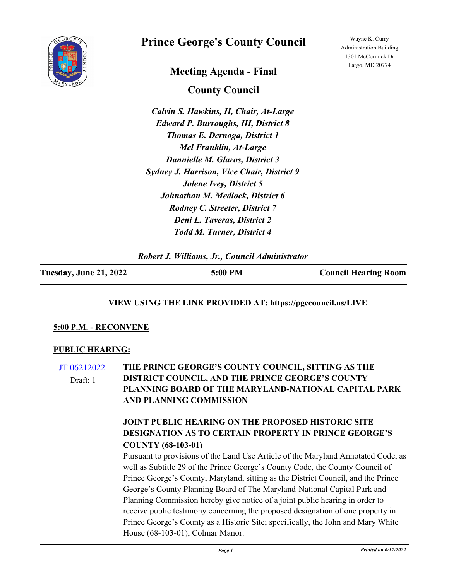

# **Prince George's County Council**

## **Meeting Agenda - Final**

Wayne K. Curry Administration Building 1301 McCormick Dr Largo, MD 20774

**County Council**

*Calvin S. Hawkins, II, Chair, At-Large Edward P. Burroughs, III, District 8 Thomas E. Dernoga, District 1 Mel Franklin, At-Large Dannielle M. Glaros, District 3 Sydney J. Harrison, Vice Chair, District 9 Jolene Ivey, District 5 Johnathan M. Medlock, District 6 Rodney C. Streeter, District 7 Deni L. Taveras, District 2 Todd M. Turner, District 4*

*Robert J. Williams, Jr., Council Administrator*

| <b>Tuesday, June 21, 2022</b> | 5:00 PM | <b>Council Hearing Room</b> |
|-------------------------------|---------|-----------------------------|
|                               |         |                             |

## **VIEW USING THE LINK PROVIDED AT: https://pgccouncil.us/LIVE**

#### **5:00 P.M. - RECONVENE**

#### **PUBLIC HEARING:**

[JT 06212022](http://princegeorgescountymd.legistar.com/gateway.aspx?m=l&id=/matter.aspx?key=15046) **THE PRINCE GEORGE'S COUNTY COUNCIL, SITTING AS THE DISTRICT COUNCIL, AND THE PRINCE GEORGE'S COUNTY PLANNING BOARD OF THE MARYLAND-NATIONAL CAPITAL PARK AND PLANNING COMMISSION**  Draft: 1

## **JOINT PUBLIC HEARING ON THE PROPOSED HISTORIC SITE DESIGNATION AS TO CERTAIN PROPERTY IN PRINCE GEORGE'S COUNTY (68-103-01)**

Pursuant to provisions of the Land Use Article of the Maryland Annotated Code, as well as Subtitle 29 of the Prince George's County Code, the County Council of Prince George's County, Maryland, sitting as the District Council, and the Prince George's County Planning Board of The Maryland-National Capital Park and Planning Commission hereby give notice of a joint public hearing in order to receive public testimony concerning the proposed designation of one property in Prince George's County as a Historic Site; specifically, the John and Mary White House (68-103-01), Colmar Manor.